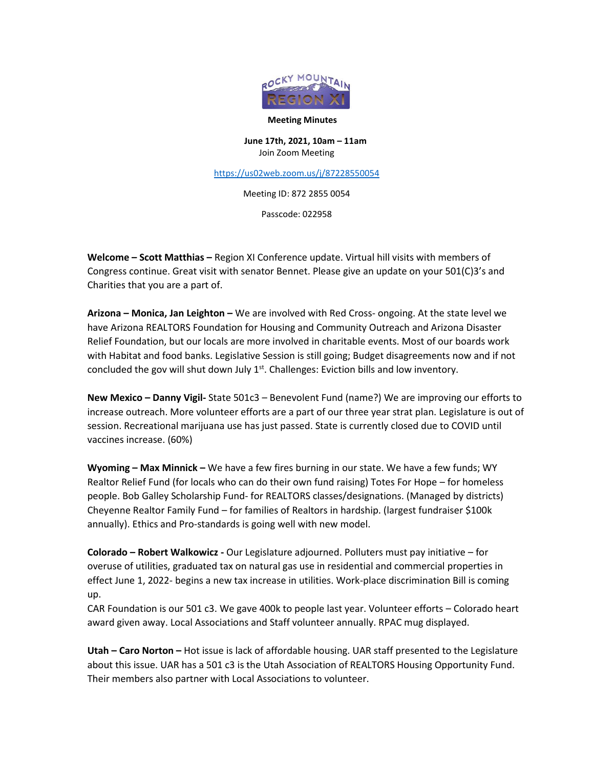

## **Meeting Minutes**

**June 17th, 2021, 10am – 11am** Join Zoom Meeting

<https://us02web.zoom.us/j/87228550054>

Meeting ID: 872 2855 0054

Passcode: 022958

**Welcome – Scott Matthias –** Region XI Conference update. Virtual hill visits with members of Congress continue. Great visit with senator Bennet. Please give an update on your 501(C)3's and Charities that you are a part of.

**Arizona – Monica, Jan Leighton –** We are involved with Red Cross- ongoing. At the state level we have Arizona REALTORS Foundation for Housing and Community Outreach and Arizona Disaster Relief Foundation, but our locals are more involved in charitable events. Most of our boards work with Habitat and food banks. Legislative Session is still going; Budget disagreements now and if not concluded the gov will shut down July  $1<sup>st</sup>$ . Challenges: Eviction bills and low inventory.

**New Mexico – Danny Vigil-** State 501c3 – Benevolent Fund (name?) We are improving our efforts to increase outreach. More volunteer efforts are a part of our three year strat plan. Legislature is out of session. Recreational marijuana use has just passed. State is currently closed due to COVID until vaccines increase. (60%)

**Wyoming – Max Minnick –** We have a few fires burning in our state. We have a few funds; WY Realtor Relief Fund (for locals who can do their own fund raising) Totes For Hope – for homeless people. Bob Galley Scholarship Fund- for REALTORS classes/designations. (Managed by districts) Cheyenne Realtor Family Fund – for families of Realtors in hardship. (largest fundraiser \$100k annually). Ethics and Pro-standards is going well with new model.

**Colorado – Robert Walkowicz -** Our Legislature adjourned. Polluters must pay initiative – for overuse of utilities, graduated tax on natural gas use in residential and commercial properties in effect June 1, 2022- begins a new tax increase in utilities. Work-place discrimination Bill is coming up.

CAR Foundation is our 501 c3. We gave 400k to people last year. Volunteer efforts – Colorado heart award given away. Local Associations and Staff volunteer annually. RPAC mug displayed.

**Utah – Caro Norton –** Hot issue is lack of affordable housing. UAR staff presented to the Legislature about this issue. UAR has a 501 c3 is the Utah Association of REALTORS Housing Opportunity Fund. Their members also partner with Local Associations to volunteer.